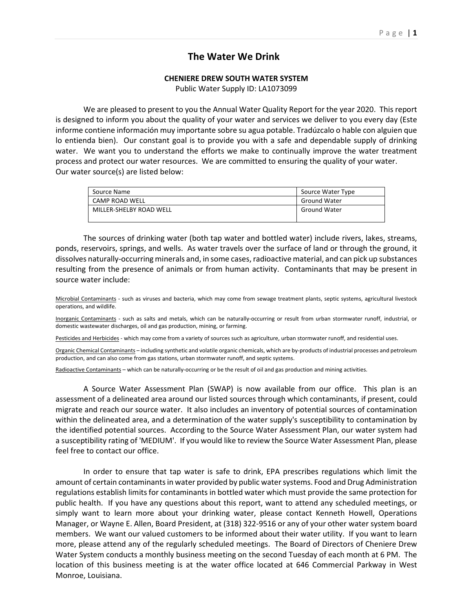## **The Water We Drink**

## **CHENIERE DREW SOUTH WATER SYSTEM**

Public Water Supply ID: LA1073099

 We are pleased to present to you the Annual Water Quality Report for the year 2020. This report is designed to inform you about the quality of your water and services we deliver to you every day (Este informe contiene información muy importante sobre su agua potable. Tradúzcalo o hable con alguien que lo entienda bien). Our constant goal is to provide you with a safe and dependable supply of drinking water. We want you to understand the efforts we make to continually improve the water treatment process and protect our water resources. We are committed to ensuring the quality of your water. Our water source(s) are listed below:

| Source Name             | Source Water Type   |
|-------------------------|---------------------|
| CAMP ROAD WELL          | <b>Ground Water</b> |
| MILLER-SHELBY ROAD WELL | <b>Ground Water</b> |

 The sources of drinking water (both tap water and bottled water) include rivers, lakes, streams, ponds, reservoirs, springs, and wells. As water travels over the surface of land or through the ground, it dissolves naturally-occurring minerals and, in some cases, radioactive material, and can pick up substances resulting from the presence of animals or from human activity. Contaminants that may be present in source water include:

Microbial Contaminants - such as viruses and bacteria, which may come from sewage treatment plants, septic systems, agricultural livestock operations, and wildlife.

Inorganic Contaminants - such as salts and metals, which can be naturally-occurring or result from urban stormwater runoff, industrial, or domestic wastewater discharges, oil and gas production, mining, or farming.

Pesticides and Herbicides - which may come from a variety of sources such as agriculture, urban stormwater runoff, and residential uses.

Organic Chemical Contaminants – including synthetic and volatile organic chemicals, which are by-products of industrial processes and petroleum production, and can also come from gas stations, urban stormwater runoff, and septic systems.

Radioactive Contaminants – which can be naturally-occurring or be the result of oil and gas production and mining activities.

 A Source Water Assessment Plan (SWAP) is now available from our office. This plan is an assessment of a delineated area around our listed sources through which contaminants, if present, could migrate and reach our source water. It also includes an inventory of potential sources of contamination within the delineated area, and a determination of the water supply's susceptibility to contamination by the identified potential sources. According to the Source Water Assessment Plan, our water system had a susceptibility rating of 'MEDIUM'. If you would like to review the Source Water Assessment Plan, please feel free to contact our office.

 In order to ensure that tap water is safe to drink, EPA prescribes regulations which limit the amount of certain contaminants in water provided by public water systems. Food and Drug Administration regulations establish limits for contaminants in bottled water which must provide the same protection for public health. If you have any questions about this report, want to attend any scheduled meetings, or simply want to learn more about your drinking water, please contact Kenneth Howell, Operations Manager, or Wayne E. Allen, Board President, at (318) 322-9516 or any of your other water system board members. We want our valued customers to be informed about their water utility. If you want to learn more, please attend any of the regularly scheduled meetings. The Board of Directors of Cheniere Drew Water System conducts a monthly business meeting on the second Tuesday of each month at 6 PM. The location of this business meeting is at the water office located at 646 Commercial Parkway in West Monroe, Louisiana.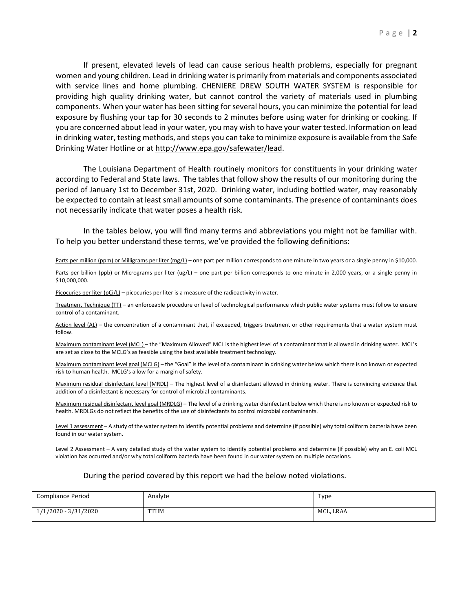If present, elevated levels of lead can cause serious health problems, especially for pregnant women and young children. Lead in drinking water is primarily from materials and components associated with service lines and home plumbing. CHENIERE DREW SOUTH WATER SYSTEM is responsible for providing high quality drinking water, but cannot control the variety of materials used in plumbing components. When your water has been sitting for several hours, you can minimize the potential for lead exposure by flushing your tap for 30 seconds to 2 minutes before using water for drinking or cooking. If you are concerned about lead in your water, you may wish to have your water tested. Information on lead in drinking water, testing methods, and steps you can take to minimize exposure is available from the Safe Drinking Water Hotline or at http://www.epa.gov/safewater/lead.

 The Louisiana Department of Health routinely monitors for constituents in your drinking water according to Federal and State laws. The tables that follow show the results of our monitoring during the period of January 1st to December 31st, 2020. Drinking water, including bottled water, may reasonably be expected to contain at least small amounts of some contaminants. The presence of contaminants does not necessarily indicate that water poses a health risk.

 In the tables below, you will find many terms and abbreviations you might not be familiar with. To help you better understand these terms, we've provided the following definitions:

Parts per million (ppm) or Milligrams per liter (mg/L) – one part per million corresponds to one minute in two years or a single penny in \$10,000.

Parts per billion (ppb) or Micrograms per liter (ug/L) – one part per billion corresponds to one minute in 2,000 years, or a single penny in \$10,000,000.

Picocuries per liter (pCi/L) – picocuries per liter is a measure of the radioactivity in water.

Treatment Technique (TT) – an enforceable procedure or level of technological performance which public water systems must follow to ensure control of a contaminant.

Action level (AL) – the concentration of a contaminant that, if exceeded, triggers treatment or other requirements that a water system must follow.

Maximum contaminant level (MCL) – the "Maximum Allowed" MCL is the highest level of a contaminant that is allowed in drinking water. MCL's are set as close to the MCLG's as feasible using the best available treatment technology.

Maximum contaminant level goal (MCLG) – the "Goal" is the level of a contaminant in drinking water below which there is no known or expected risk to human health. MCLG's allow for a margin of safety.

Maximum residual disinfectant level (MRDL) – The highest level of a disinfectant allowed in drinking water. There is convincing evidence that addition of a disinfectant is necessary for control of microbial contaminants.

Maximum residual disinfectant level goal (MRDLG) – The level of a drinking water disinfectant below which there is no known or expected risk to health. MRDLGs do not reflect the benefits of the use of disinfectants to control microbial contaminants.

Level 1 assessment – A study of the water system to identify potential problems and determine (if possible) why total coliform bacteria have been found in our water system.

Level 2 Assessment - A very detailed study of the water system to identify potential problems and determine (if possible) why an E. coli MCL violation has occurred and/or why total coliform bacteria have been found in our water system on multiple occasions.

## During the period covered by this report we had the below noted violations.

| <b>Compliance Period</b> | Analyte     | Type      |
|--------------------------|-------------|-----------|
| $1/1/2020 - 3/31/2020$   | <b>TTHM</b> | MCL, LRAA |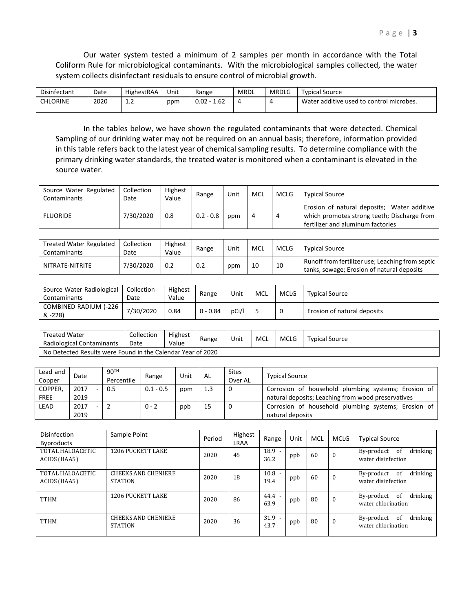Our water system tested a minimum of 2 samples per month in accordance with the Total Coliform Rule for microbiological contaminants. With the microbiological samples collected, the water system collects disinfectant residuals to ensure control of microbial growth.

| Disinfectant    | Date | HighestRAA | Unit | Range        | <b>MRDL</b> | <b>MRDLG</b> | <b>Typical Source</b>                    |
|-----------------|------|------------|------|--------------|-------------|--------------|------------------------------------------|
| <b>CHLORINE</b> | 2020 | <b></b>    | ppm  | 1.62<br>0.02 | ↵           |              | Water additive used to control microbes. |

 In the tables below, we have shown the regulated contaminants that were detected. Chemical Sampling of our drinking water may not be required on an annual basis; therefore, information provided in this table refers back to the latest year of chemical sampling results. To determine compliance with the primary drinking water standards, the treated water is monitored when a contaminant is elevated in the source water.

| Source Water Regulated<br>Contaminants | Collection<br>Date | Highest<br>Value | Range       | Unit | MCL | <b>MCLG</b> | <b>Typical Source</b>                                                                                                           |
|----------------------------------------|--------------------|------------------|-------------|------|-----|-------------|---------------------------------------------------------------------------------------------------------------------------------|
| <b>FLUORIDE</b>                        | 7/30/2020          | 0.8              | $0.2 - 0.8$ | ppm  | 4   | -4          | Erosion of natural deposits; Water additive<br>which promotes strong teeth; Discharge from<br>fertilizer and aluminum factories |

| Treated Water Regulated<br>Contaminants | Collection<br>Date | Highest<br>Value | Range | Unit | MCL | <b>MCLG</b> | Typical Source                                                                                 |
|-----------------------------------------|--------------------|------------------|-------|------|-----|-------------|------------------------------------------------------------------------------------------------|
| NITRATE-NITRITE                         | 7/30/2020          | 0.2              | 0.2   | ppm  | 10  | 10          | Runoff from fertilizer use; Leaching from septic<br>tanks, sewage; Erosion of natural deposits |

| Source Water Radiological<br>Contaminants | Collection<br>Date | Highest<br>Value | Range      | Unit  | MCL | <b>MCLG</b> | <b>Typical Source</b>       |
|-------------------------------------------|--------------------|------------------|------------|-------|-----|-------------|-----------------------------|
| COMBINED RADIUM (-226<br>& -228)          | 7/30/2020          | 0.84             | $0 - 0.84$ | pCi/l |     |             | Erosion of natural deposits |

| Treated Water<br>Radiological Contaminants                  | Collection<br>Date | Highest<br>Value | Range | Unit | MCL | <b>MCLG</b> | <b>Typical Source</b> |  |  |
|-------------------------------------------------------------|--------------------|------------------|-------|------|-----|-------------|-----------------------|--|--|
| No Detected Results were Found in the Calendar Year of 2020 |                    |                  |       |      |     |             |                       |  |  |

| Lead and<br>Copper     | Date         | 90 <sup>TH</sup><br>Percentile | Range       | Unit | AL  | Sites<br>Over AL | <b>Typical Source</b>                                                                                     |
|------------------------|--------------|--------------------------------|-------------|------|-----|------------------|-----------------------------------------------------------------------------------------------------------|
| COPPER,<br><b>FREE</b> | 2017<br>2019 | 0.5                            | $0.1 - 0.5$ | ppm  | 1.3 | 0                | Corrosion of household plumbing systems; Erosion of<br>natural deposits; Leaching from wood preservatives |
| LEAD                   | 2017<br>2019 |                                | $0 - 2$     | ppb  | 15  | 0                | Corrosion of household plumbing systems; Erosion of<br>natural deposits                                   |

| Disinfection<br><b>Byproducts</b> | Sample Point                                 | Period | Highest<br>LRAA | Range            | Unit | MCL | <b>MCLG</b>  | <b>Typical Source</b>                               |
|-----------------------------------|----------------------------------------------|--------|-----------------|------------------|------|-----|--------------|-----------------------------------------------------|
| TOTAL HALOACETIC<br>ACIDS (HAA5)  | <b>1206 PUCKETT LAKE</b>                     | 2020   | 45              | 18.9<br>36.2     | ppb  | 60  | $\mathbf{0}$ | drinking<br>0f<br>By-product<br>water disinfection  |
| TOTAL HALOACETIC<br>ACIDS (HAA5)  | <b>CHEEKS AND CHENIERE</b><br><b>STATION</b> | 2020   | 18              | 10.8<br>19.4     | ppb  | 60  | $\mathbf{0}$ | drinking<br>of<br>By-product<br>water disinfection  |
| <b>TTHM</b>                       | <b>1206 PUCKETT LAKE</b>                     | 2020   | 86              | $44.4 -$<br>63.9 | ppb  | 80  | $\Omega$     | drinking<br>By-product<br>-of<br>water chlorination |
| <b>TTHM</b>                       | <b>CHEEKS AND CHENIERE</b><br><b>STATION</b> | 2020   | 36              | 31.9<br>43.7     | ppb  | 80  | $\theta$     | drinking<br>0f<br>By-product<br>water chlorination  |